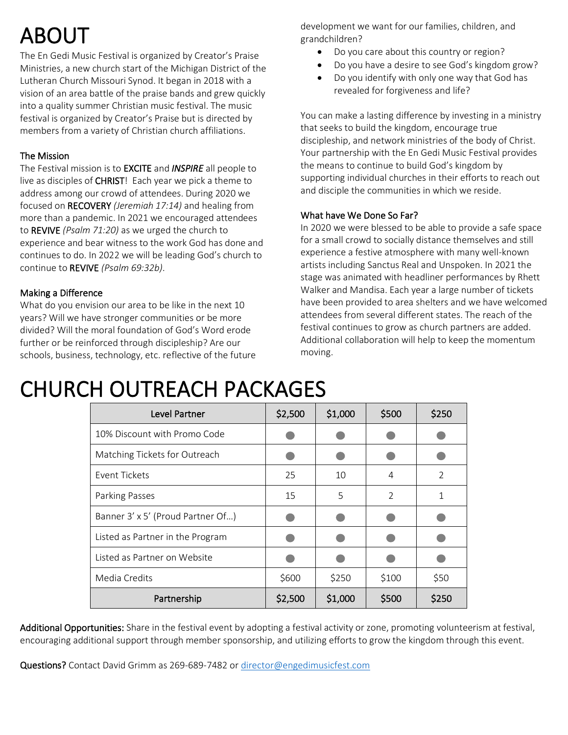# ABOUT

The En Gedi Music Festival is organized by Creator's Praise Ministries, a new church start of the Michigan District of the Lutheran Church Missouri Synod. It began in 2018 with a vision of an area battle of the praise bands and grew quickly into a quality summer Christian music festival. The music festival is organized by Creator's Praise but is directed by members from a variety of Christian church affiliations.

### The Mission

The Festival mission is to EXCITE and *INSPIRE* all people to live as disciples of **CHRIST!** Each year we pick a theme to address among our crowd of attendees. During 2020 we focused on RECOVERY *(Jeremiah 17:14)* and healing from more than a pandemic. In 2021 we encouraged attendees to REVIVE *(Psalm 71:20)* as we urged the church to experience and bear witness to the work God has done and continues to do. In 2022 we will be leading God's church to continue to REVIVE *(Psalm 69:32b)*.

### Making a Difference

What do you envision our area to be like in the next 10 years? Will we have stronger communities or be more divided? Will the moral foundation of God's Word erode further or be reinforced through discipleship? Are our schools, business, technology, etc. reflective of the future development we want for our families, children, and grandchildren?

- Do you care about this country or region?
- Do you have a desire to see God's kingdom grow?
- Do you identify with only one way that God has revealed for forgiveness and life?

You can make a lasting difference by investing in a ministry that seeks to build the kingdom, encourage true discipleship, and network ministries of the body of Christ. Your partnership with the En Gedi Music Festival provides the means to continue to build God's kingdom by supporting individual churches in their efforts to reach out and disciple the communities in which we reside.

### What have We Done So Far?

In 2020 we were blessed to be able to provide a safe space for a small crowd to socially distance themselves and still experience a festive atmosphere with many well-known artists including Sanctus Real and Unspoken. In 2021 the stage was animated with headliner performances by Rhett Walker and Mandisa. Each year a large number of tickets have been provided to area shelters and we have welcomed attendees from several different states. The reach of the festival continues to grow as church partners are added. Additional collaboration will help to keep the momentum moving.

## CHURCH OUTREACH PACKAGES

| Level Partner                     | \$2,500 | \$1,000 | \$500         | \$250 |
|-----------------------------------|---------|---------|---------------|-------|
| 10% Discount with Promo Code      |         |         |               |       |
| Matching Tickets for Outreach     |         |         |               |       |
| Event Tickets                     | 25      | 10      | 4             | 2     |
| Parking Passes                    | 15      | 5       | $\mathcal{P}$ | 1     |
| Banner 3' x 5' (Proud Partner Of) |         |         |               |       |
| Listed as Partner in the Program  |         |         |               |       |
| Listed as Partner on Website      |         |         |               |       |
| Media Credits                     | \$600   | \$250   | \$100         | \$50  |
| Partnership                       | \$2,500 | \$1,000 | \$500         | \$250 |

Additional Opportunities: Share in the festival event by adopting a festival activity or zone, promoting volunteerism at festival, encouraging additional support through member sponsorship, and utilizing efforts to grow the kingdom through this event.

Questions? Contact David Grimm as 269-689-7482 or [director@engedimusicfest.com](mailto:director@engedimusicfest.com)